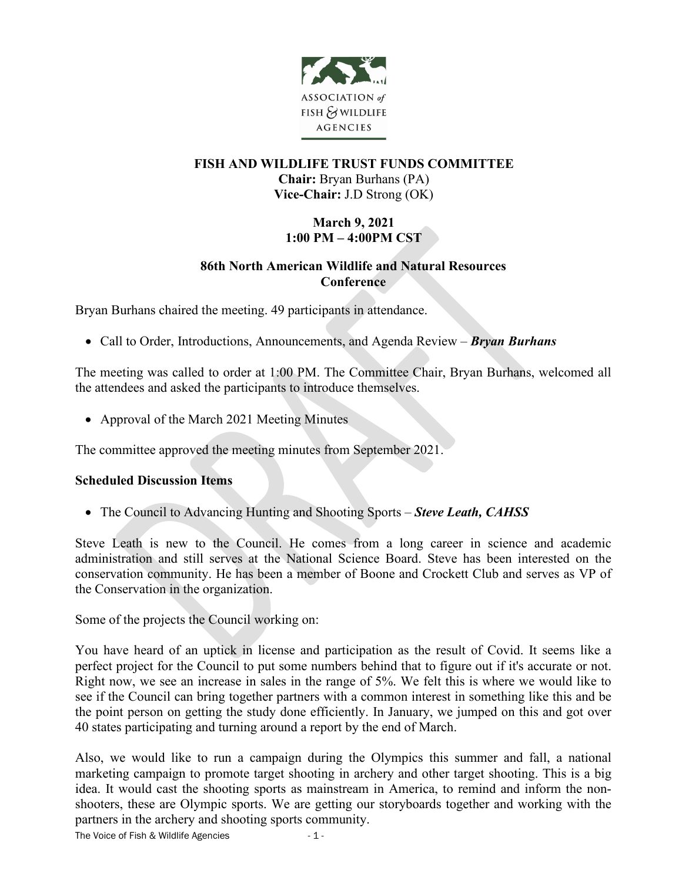

# **FISH AND WILDLIFE TRUST FUNDS COMMITTEE Chair:** Bryan Burhans (PA) **Vice-Chair:** J.D Strong (OK)

# **March 9, 2021 1:00 PM – 4:00PM CST**

# **86th North American Wildlife and Natural Resources Conference**

Bryan Burhans chaired the meeting. 49 participants in attendance.

• Call to Order, Introductions, Announcements, and Agenda Review – *Bryan Burhans*

The meeting was called to order at 1:00 PM. The Committee Chair, Bryan Burhans, welcomed all the attendees and asked the participants to introduce themselves.

• Approval of the March 2021 Meeting Minutes

The committee approved the meeting minutes from September 2021.

# **Scheduled Discussion Items**

• The Council to Advancing Hunting and Shooting Sports – *Steve Leath, CAHSS*

Steve Leath is new to the Council. He comes from a long career in science and academic administration and still serves at the National Science Board. Steve has been interested on the conservation community. He has been a member of Boone and Crockett Club and serves as VP of the Conservation in the organization.

Some of the projects the Council working on:

You have heard of an uptick in license and participation as the result of Covid. It seems like a perfect project for the Council to put some numbers behind that to figure out if it's accurate or not. Right now, we see an increase in sales in the range of 5%. We felt this is where we would like to see if the Council can bring together partners with a common interest in something like this and be the point person on getting the study done efficiently. In January, we jumped on this and got over 40 states participating and turning around a report by the end of March.

Also, we would like to run a campaign during the Olympics this summer and fall, a national marketing campaign to promote target shooting in archery and other target shooting. This is a big idea. It would cast the shooting sports as mainstream in America, to remind and inform the nonshooters, these are Olympic sports. We are getting our storyboards together and working with the partners in the archery and shooting sports community.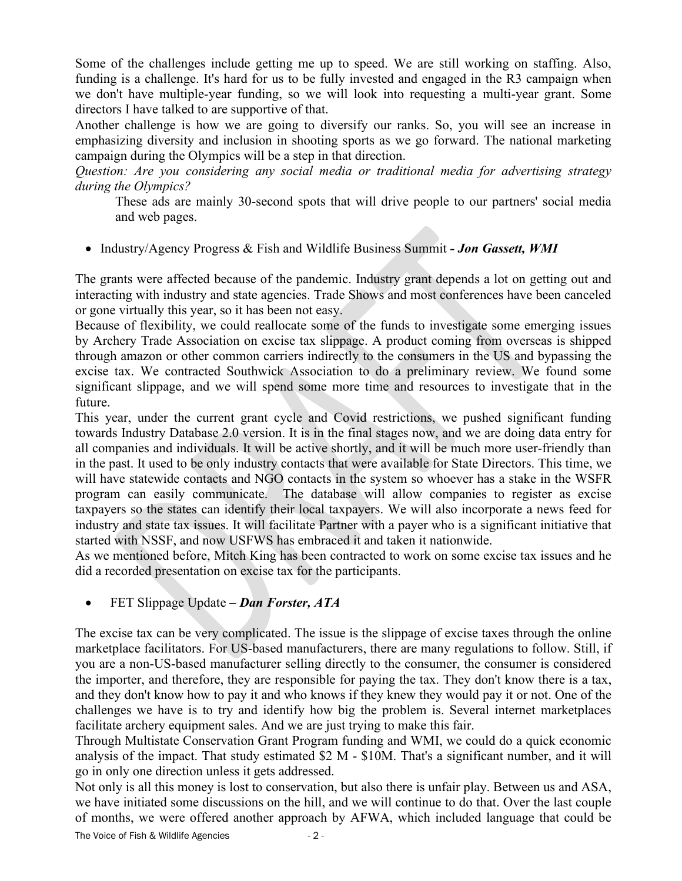Some of the challenges include getting me up to speed. We are still working on staffing. Also, funding is a challenge. It's hard for us to be fully invested and engaged in the R3 campaign when we don't have multiple-year funding, so we will look into requesting a multi-year grant. Some directors I have talked to are supportive of that.

Another challenge is how we are going to diversify our ranks. So, you will see an increase in emphasizing diversity and inclusion in shooting sports as we go forward. The national marketing campaign during the Olympics will be a step in that direction.

*Question: Are you considering any social media or traditional media for advertising strategy during the Olympics?*

These ads are mainly 30-second spots that will drive people to our partners' social media and web pages.

• Industry/Agency Progress & Fish and Wildlife Business Summit *- Jon Gassett, WMI*

The grants were affected because of the pandemic. Industry grant depends a lot on getting out and interacting with industry and state agencies. Trade Shows and most conferences have been canceled or gone virtually this year, so it has been not easy.

Because of flexibility, we could reallocate some of the funds to investigate some emerging issues by Archery Trade Association on excise tax slippage. A product coming from overseas is shipped through amazon or other common carriers indirectly to the consumers in the US and bypassing the excise tax. We contracted Southwick Association to do a preliminary review. We found some significant slippage, and we will spend some more time and resources to investigate that in the future.

This year, under the current grant cycle and Covid restrictions, we pushed significant funding towards Industry Database 2.0 version. It is in the final stages now, and we are doing data entry for all companies and individuals. It will be active shortly, and it will be much more user-friendly than in the past. It used to be only industry contacts that were available for State Directors. This time, we will have statewide contacts and NGO contacts in the system so whoever has a stake in the WSFR program can easily communicate. The database will allow companies to register as excise taxpayers so the states can identify their local taxpayers. We will also incorporate a news feed for industry and state tax issues. It will facilitate Partner with a payer who is a significant initiative that started with NSSF, and now USFWS has embraced it and taken it nationwide.

As we mentioned before, Mitch King has been contracted to work on some excise tax issues and he did a recorded presentation on excise tax for the participants.

# • FET Slippage Update – *Dan Forster, ATA*

The excise tax can be very complicated. The issue is the slippage of excise taxes through the online marketplace facilitators. For US-based manufacturers, there are many regulations to follow. Still, if you are a non-US-based manufacturer selling directly to the consumer, the consumer is considered the importer, and therefore, they are responsible for paying the tax. They don't know there is a tax, and they don't know how to pay it and who knows if they knew they would pay it or not. One of the challenges we have is to try and identify how big the problem is. Several internet marketplaces facilitate archery equipment sales. And we are just trying to make this fair.

Through Multistate Conservation Grant Program funding and WMI, we could do a quick economic analysis of the impact. That study estimated \$2 M - \$10M. That's a significant number, and it will go in only one direction unless it gets addressed.

Not only is all this money is lost to conservation, but also there is unfair play. Between us and ASA, we have initiated some discussions on the hill, and we will continue to do that. Over the last couple of months, we were offered another approach by AFWA, which included language that could be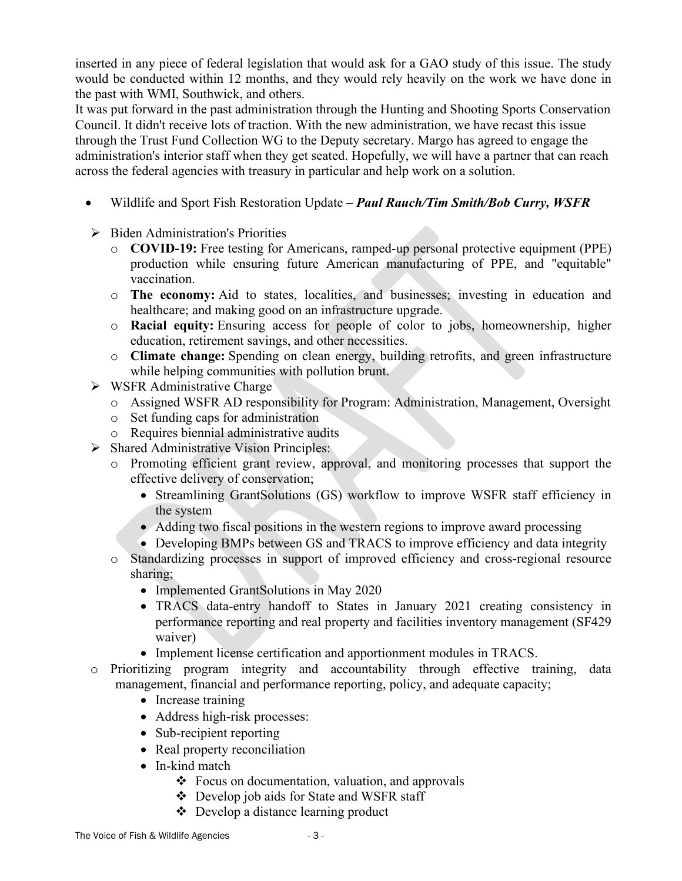inserted in any piece of federal legislation that would ask for a GAO study of this issue. The study would be conducted within 12 months, and they would rely heavily on the work we have done in the past with WMI, Southwick, and others.

It was put forward in the past administration through the Hunting and Shooting Sports Conservation Council. It didn't receive lots of traction. With the new administration, we have recast this issue through the Trust Fund Collection WG to the Deputy secretary. Margo has agreed to engage the administration's interior staff when they get seated. Hopefully, we will have a partner that can reach across the federal agencies with treasury in particular and help work on a solution.

- Wildlife and Sport Fish Restoration Update *Paul Rauch/Tim Smith/Bob Curry, WSFR*
- $\triangleright$  Biden Administration's Priorities
	- o **COVID-19:** Free testing for Americans, ramped-up personal protective equipment (PPE) production while ensuring future American manufacturing of PPE, and "equitable" vaccination.
	- o **The economy:** Aid to states, localities, and businesses; investing in education and healthcare; and making good on an infrastructure upgrade.
	- o **Racial equity:** Ensuring access for people of color to jobs, homeownership, higher education, retirement savings, and other necessities.
	- o **Climate change:** Spending on clean energy, building retrofits, and green infrastructure while helping communities with pollution brunt.
- $\triangleright$  WSFR Administrative Charge
	- o Assigned WSFR AD responsibility for Program: Administration, Management, Oversight
	- o Set funding caps for administration
	- o Requires biennial administrative audits
- $\triangleright$  Shared Administrative Vision Principles:
	- o Promoting efficient grant review, approval, and monitoring processes that support the effective delivery of conservation;
		- Streamlining GrantSolutions (GS) workflow to improve WSFR staff efficiency in the system
		- Adding two fiscal positions in the western regions to improve award processing
		- Developing BMPs between GS and TRACS to improve efficiency and data integrity
	- o Standardizing processes in support of improved efficiency and cross-regional resource sharing;
		- Implemented GrantSolutions in May 2020
		- TRACS data-entry handoff to States in January 2021 creating consistency in performance reporting and real property and facilities inventory management (SF429 waiver)
		- Implement license certification and apportionment modules in TRACS.
- o Prioritizing program integrity and accountability through effective training, data management, financial and performance reporting, policy, and adequate capacity;
	- Increase training
	- Address high-risk processes:
	- Sub-recipient reporting
	- Real property reconciliation
	- In-kind match
		- $\div$  Focus on documentation, valuation, and approvals
		- Develop job aids for State and WSFR staff
		- Develop a distance learning product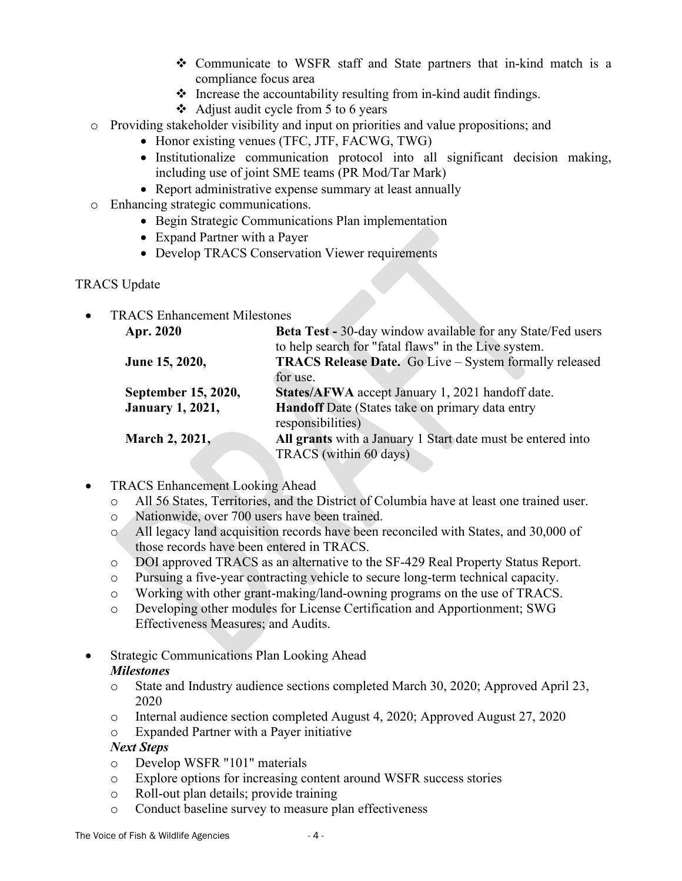- $\div$  Communicate to WSFR staff and State partners that in-kind match is a compliance focus area
- $\triangleleft$  Increase the accountability resulting from in-kind audit findings.
- Adjust audit cycle from 5 to 6 years
- o Providing stakeholder visibility and input on priorities and value propositions; and
	- Honor existing venues (TFC, JTF, FACWG, TWG)
		- Institutionalize communication protocol into all significant decision making, including use of joint SME teams (PR Mod/Tar Mark)
		- Report administrative expense summary at least annually
- o Enhancing strategic communications.
	- Begin Strategic Communications Plan implementation
	- Expand Partner with a Payer
	- Develop TRACS Conservation Viewer requirements

# TRACS Update

TRACS Enhancement Milestones

| Apr. 2020               | <b>Beta Test - 30-day window available for any State/Fed users</b> |
|-------------------------|--------------------------------------------------------------------|
|                         | to help search for "fatal flaws" in the Live system.               |
| June 15, 2020,          | TRACS Release Date. Go Live - System formally released             |
|                         | for use.                                                           |
| September 15, 2020,     | States/AFWA accept January 1, 2021 handoff date.                   |
| <b>January 1, 2021,</b> | Handoff Date (States take on primary data entry                    |
|                         | responsibilities)                                                  |
| March 2, 2021,          | All grants with a January 1 Start date must be entered into        |
|                         | TRACS (within 60 days)                                             |

- TRACS Enhancement Looking Ahead
	- o All 56 States, Territories, and the District of Columbia have at least one trained user.
	- o Nationwide, over 700 users have been trained.
	- o All legacy land acquisition records have been reconciled with States, and 30,000 of those records have been entered in TRACS.
	- o DOI approved TRACS as an alternative to the SF-429 Real Property Status Report.
	- o Pursuing a five-year contracting vehicle to secure long-term technical capacity.
	- o Working with other grant-making/land-owning programs on the use of TRACS.
	- o Developing other modules for License Certification and Apportionment; SWG Effectiveness Measures; and Audits.
- Strategic Communications Plan Looking Ahead *Milestones*
	- o State and Industry audience sections completed March 30, 2020; Approved April 23, 2020
	- o Internal audience section completed August 4, 2020; Approved August 27, 2020

o Expanded Partner with a Payer initiative

# *Next Steps*

- o Develop WSFR "101" materials
- o Explore options for increasing content around WSFR success stories
- o Roll-out plan details; provide training
- o Conduct baseline survey to measure plan effectiveness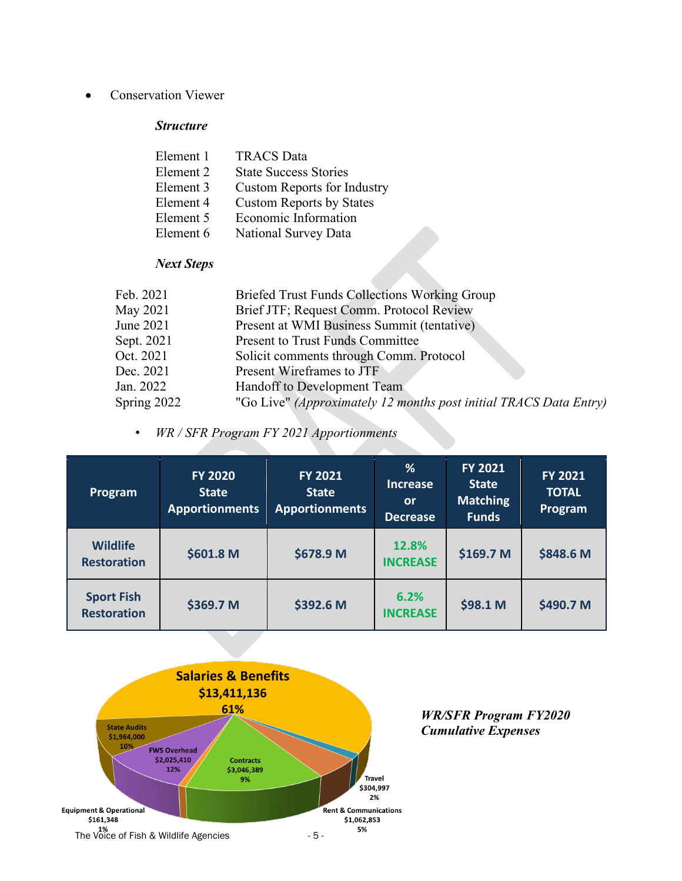• Conservation Viewer

#### *Structure*

| Element 1 | <b>TRACS</b> Data                  |
|-----------|------------------------------------|
| Element 2 | <b>State Success Stories</b>       |
| Element 3 | <b>Custom Reports for Industry</b> |
| Element 4 | <b>Custom Reports by States</b>    |
| Element 5 | Economic Information               |
| Element 6 | National Survey Data               |

# *Next Steps*

| Briefed Trust Funds Collections Working Group                     |
|-------------------------------------------------------------------|
| Brief JTF; Request Comm. Protocol Review                          |
| Present at WMI Business Summit (tentative)                        |
| <b>Present to Trust Funds Committee</b>                           |
| Solicit comments through Comm. Protocol                           |
| Present Wireframes to JTF                                         |
| Handoff to Development Team                                       |
| "Go Live" (Approximately 12 months post initial TRACS Data Entry) |
|                                                                   |

• *WR / SFR Program FY 2021 Apportionments*

| Program                                 | <b>FY 2020</b><br><b>State</b><br><b>Apportionments</b> | <b>FY 2021</b><br><b>State</b><br><b>Apportionments</b> | %<br><b>Increase</b><br><b>or</b><br><b>Decrease</b> | <b>FY 2021</b><br><b>State</b><br><b>Matching</b><br>Funds <sup>'</sup> | <b>FY 2021</b><br><b>TOTAL</b><br>Program |
|-----------------------------------------|---------------------------------------------------------|---------------------------------------------------------|------------------------------------------------------|-------------------------------------------------------------------------|-------------------------------------------|
| <b>Wildlife</b><br><b>Restoration</b>   | \$601.8 M                                               | \$678.9 M                                               | 12.8%<br><b>INCREASE</b>                             | \$169.7 M                                                               | \$848.6 M                                 |
| <b>Sport Fish</b><br><b>Restoration</b> | \$369.7 M                                               | \$392.6 M                                               | 6.2%<br><b>INCREASE</b>                              | \$98.1 M                                                                | \$490.7 M                                 |



*WR/SFR Program FY2020 Cumulative Expenses*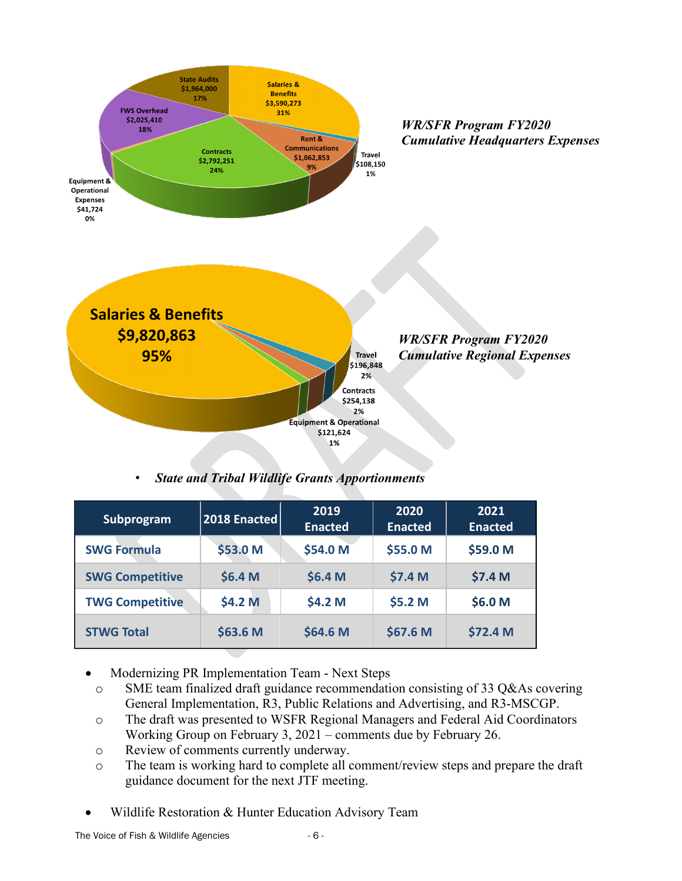

• *State and Tribal Wildlife Grants Apportionments*

| Subprogram             | 2018 Enacted | 2019<br><b>Enacted</b> | 2020<br><b>Enacted</b> | 2021<br><b>Enacted</b> |
|------------------------|--------------|------------------------|------------------------|------------------------|
| <b>SWG Formula</b>     | \$53.0 M     | \$54.0 M               | \$55.0 M               | \$59.0 M               |
| <b>SWG Competitive</b> | \$6.4 M      | \$6.4 M                | \$7.4 M                | \$7.4 M                |
| <b>TWG Competitive</b> | \$4.2 M      | \$4.2 M                | \$5.2 M                | \$6.0 M                |
| <b>STWG Total</b>      | \$63.6 M     | \$64.6 M               | \$67.6 M               | \$72.4 M               |

- Modernizing PR Implementation Team Next Steps
- o SME team finalized draft guidance recommendation consisting of 33 Q&As covering General Implementation, R3, Public Relations and Advertising, and R3-MSCGP.
- o The draft was presented to WSFR Regional Managers and Federal Aid Coordinators Working Group on February 3, 2021 – comments due by February 26.
- o Review of comments currently underway.
- o The team is working hard to complete all comment/review steps and prepare the draft guidance document for the next JTF meeting.
- Wildlife Restoration & Hunter Education Advisory Team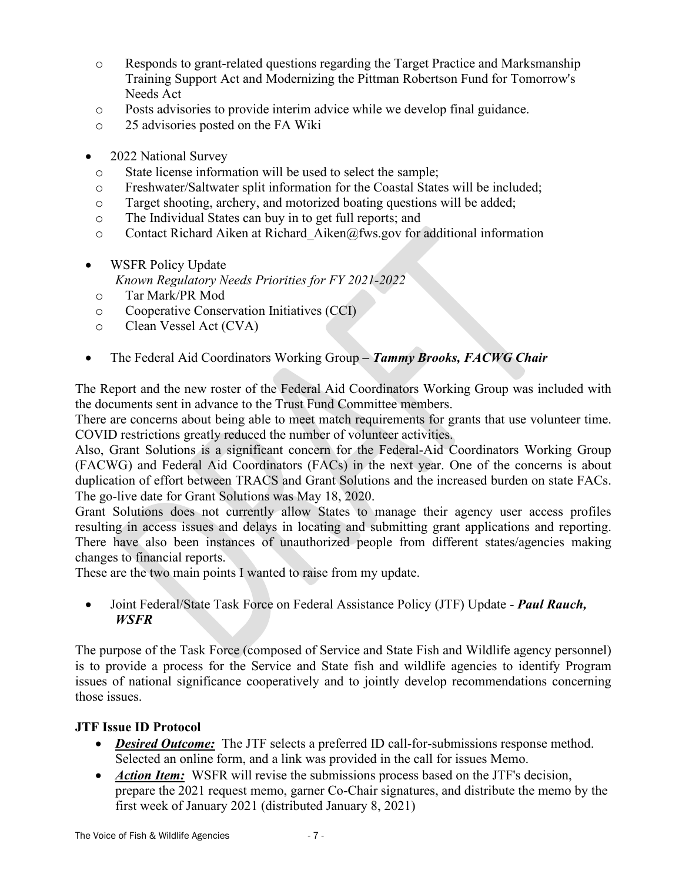- o Responds to grant-related questions regarding the Target Practice and Marksmanship Training Support Act and Modernizing the Pittman Robertson Fund for Tomorrow's Needs Act
- o Posts advisories to provide interim advice while we develop final guidance.
- o 25 advisories posted on the FA Wiki
- 2022 National Survey
	- o State license information will be used to select the sample;
	- o Freshwater/Saltwater split information for the Coastal States will be included;
	- o Target shooting, archery, and motorized boating questions will be added;
	- o The Individual States can buy in to get full reports; and
	- o Contact Richard Aiken at Richard\_Aiken@fws.gov for additional information
- WSFR Policy Update *Known Regulatory Needs Priorities for FY 2021-2022*
- o Tar Mark/PR Mod
- o Cooperative Conservation Initiatives (CCI)
- o Clean Vessel Act (CVA)
- The Federal Aid Coordinators Working Group *Tammy Brooks, FACWG Chair*

The Report and the new roster of the Federal Aid Coordinators Working Group was included with the documents sent in advance to the Trust Fund Committee members.

There are concerns about being able to meet match requirements for grants that use volunteer time. COVID restrictions greatly reduced the number of volunteer activities.

Also, Grant Solutions is a significant concern for the Federal-Aid Coordinators Working Group (FACWG) and Federal Aid Coordinators (FACs) in the next year. One of the concerns is about duplication of effort between TRACS and Grant Solutions and the increased burden on state FACs. The go-live date for Grant Solutions was May 18, 2020.

Grant Solutions does not currently allow States to manage their agency user access profiles resulting in access issues and delays in locating and submitting grant applications and reporting. There have also been instances of unauthorized people from different states/agencies making changes to financial reports.

These are the two main points I wanted to raise from my update.

• Joint Federal/State Task Force on Federal Assistance Policy (JTF) Update - *Paul Rauch, WSFR*

The purpose of the Task Force (composed of Service and State Fish and Wildlife agency personnel) is to provide a process for the Service and State fish and wildlife agencies to identify Program issues of national significance cooperatively and to jointly develop recommendations concerning those issues.

# **JTF Issue ID Protocol**

- *Desired Outcome:* The JTF selects a preferred ID call-for-submissions response method. Selected an online form, and a link was provided in the call for issues Memo.
- *Action Item:* WSFR will revise the submissions process based on the JTF's decision, prepare the 2021 request memo, garner Co-Chair signatures, and distribute the memo by the first week of January 2021 (distributed January 8, 2021)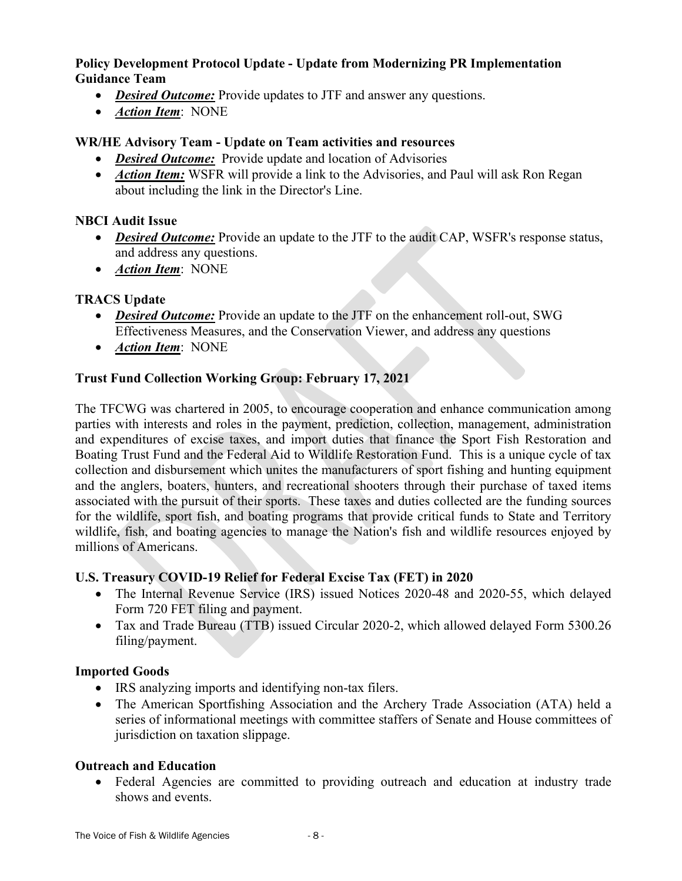### **Policy Development Protocol Update - Update from Modernizing PR Implementation Guidance Team**

- *Desired Outcome:* Provide updates to JTF and answer any questions.
- *Action Item*: NONE

# **WR/HE Advisory Team - Update on Team activities and resources**

- *Desired Outcome:* Provide update and location of Advisories
- *Action Item:* WSFR will provide a link to the Advisories, and Paul will ask Ron Regan about including the link in the Director's Line.

# **NBCI Audit Issue**

- *Desired Outcome:* Provide an update to the JTF to the audit CAP, WSFR's response status, and address any questions.
- *Action Item*: NONE

# **TRACS Update**

- *Desired Outcome:* Provide an update to the JTF on the enhancement roll-out, SWG Effectiveness Measures, and the Conservation Viewer, and address any questions
- *Action Item*: NONE

# **Trust Fund Collection Working Group: February 17, 2021**

The TFCWG was chartered in 2005, to encourage cooperation and enhance communication among parties with interests and roles in the payment, prediction, collection, management, administration and expenditures of excise taxes, and import duties that finance the Sport Fish Restoration and Boating Trust Fund and the Federal Aid to Wildlife Restoration Fund. This is a unique cycle of tax collection and disbursement which unites the manufacturers of sport fishing and hunting equipment and the anglers, boaters, hunters, and recreational shooters through their purchase of taxed items associated with the pursuit of their sports. These taxes and duties collected are the funding sources for the wildlife, sport fish, and boating programs that provide critical funds to State and Territory wildlife, fish, and boating agencies to manage the Nation's fish and wildlife resources enjoyed by millions of Americans.

# **U.S. Treasury COVID-19 Relief for Federal Excise Tax (FET) in 2020**

- The Internal Revenue Service (IRS) issued Notices 2020-48 and 2020-55, which delayed Form 720 FET filing and payment.
- Tax and Trade Bureau (TTB) issued Circular 2020-2, which allowed delayed Form 5300.26 filing/payment.

# **Imported Goods**

- IRS analyzing imports and identifying non-tax filers.
- The American Sportfishing Association and the Archery Trade Association (ATA) held a series of informational meetings with committee staffers of Senate and House committees of jurisdiction on taxation slippage.

# **Outreach and Education**

• Federal Agencies are committed to providing outreach and education at industry trade shows and events.